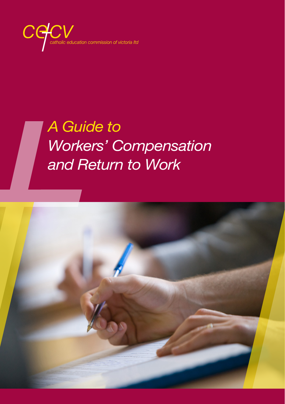$C($ lucation commission of victoria Itd

# *A Guide to Workers' Compensation and Return to Work*

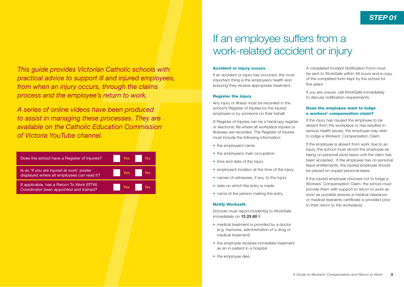*This guide provides Victorian Catholic schools with practical advice to support ill and injured employees, from when an injury occurs, through the claims process and the employee's return to work.*

*A series of online videos have been produced to assist in managing these processes. They are available on the Catholic Education Commission of Victoria YouTube channel.* 

| Does the school have a Register of Injuries?                                            | Yes |
|-----------------------------------------------------------------------------------------|-----|
| Is an 'If you are injured at work' poster<br>displayed where all employees can read it? | Yes |
| If applicable, has a Return To Work (RTW)<br>Coordinator been appointed and trained?    | Yes |

# If an employee suffers from a work-related accident or injury

#### Accident or injury occurs

If an accident or injury has occurred, the most important thing is the employee's health and ensuring they receive appropriate treatment.

#### Register the injury

Any injury or illness must be recorded in the school's Register of Injuries by the injured employee or by someone on their behalf.

A Register of Injuries can be a hardcopy register or electronic file where all workplace injuries or illnesses are recorded. The Register of Injuries must include the following information:

- the employee's name
- the employee's main occupation
- time and date of the injury
- employee's location at the time of the injury
- names of witnesses, if any, to the injury
- date on which the entry is made
- name of the person making the entry.

#### Notify Worksafe

Schools must report incident(s) to WorkSafe immediately on 13 23 60 if:

- medical treatment is provided by a doctor (e.g. fractures, administration of a drug or medical treatment)
- the employee receives immediate treatment as an in-patient in a hospital
- the employee dies.

A completed Incident Notification Form must be sent to WorkSafe within 48 hours and a copy of the completed form kept by the school for five years.

If you are unsure, call WorkSafe immediately to discuss notification requirements.

# Does the employee want to lodge a workers' compensation claim?

If the injury has caused the employee to be absent from the workplace or has resulted in serious health issues, the employee may wish to lodge a Workers' Compensation Claim.

If the employee is absent from work due to an injury, the school must record the employee as being on personal (sick) leave until the claim has been accepted. If the employee has no personal leave entitlements, the injured employee should be placed on unpaid personal leave.

If the injured employee chooses not to lodge a Workers' Compensation Claim, the school must provide them with support to return to work as soon as possible (ensure a medical clearance or medical restraints certificate is provided prior to their return to the workplace).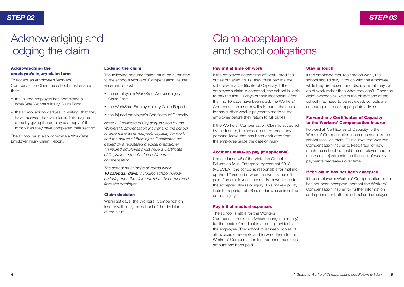# Acknowledging and lodging the claim

# Acknowledging the employee's injury claim form

To accept an employee's Workers' Compensation Claim the school must ensure that:

- the injured employee has completed a WorkSafe Worker's Injury Claim Form
- the school acknowledges, in writing, that they have received the claim form. This may be done by giving the employee a copy of the form when they have completed their section.

The school must also complete a WorkSafe Employer Injury Claim Report.

### Lodging the claim

The following documentation must be submitted to the school's Workers' Compensation Insurer via email or post:

- the employee's WorkSafe Worker's Injury Claim Form
- the WorkSafe Employer Injury Claim Report
- the injured employee's Certificate of Capacity

*Note: A Certificate of Capacity is used by the Workers' Compensation Insurer and the school to determine an employee's capacity for work and the nature of their injury. Certificates are issued by a registered medical practitioner. An injured employee must have a Certificate of Capacity to receive loss of income compensation.*

*The school must lodge all forms within 10 calendar days, including school holiday periods, once the claim form has been received from the employee.*

#### Claim decision

Within 28 days, the Workers' Compensation Insurer will notify the school of the decision of the claim.

# Claim acceptance and school obligations

#### Pay initial time off work

If the employee needs time off work, modified duties or varied hours, they must provide the school with a Certificate of Capacity. If the employee's claim is accepted, the school is liable to pay the first 10 days of their incapacity. After the first 10 days have been paid, the Workers' Compensation Insurer will reimburse the school for any further weekly payments made to the employee before they return to full duties.

If the Workers' Compensation Claim is accepted by the Insurer, the school must re-credit any personal leave that has been deducted from the employee since the date of injury.

#### Accident make-up pay (if applicable)

Under clause 46 of the Victorian Catholic Education Multi Enterprise Agreement 2013 (VCEMEA), the school is responsible for making up the difference between the weekly benefit paid if an employee is absent from work due to the accepted illness or injury. This make-up pay lasts for a period of 26 calendar weeks from the date of injury.

#### Pay initial medical expenses

The school is liable for the Workers' Compensation excess (which changes annually) for the costs of medical treatment provided to the employee. The school must keep copies of all invoices or receipts and forward them to the Workers' Compensation Insurer once the excess amount has been paid.

### Stay in touch

If the employee requires time off work, the school should stay in touch with the employee while they are absent and discuss what they can do at work rather than what they can't. Once the claim exceeds 52 weeks the obligations of the school may need to be reviewed; schools are encouraged to seek appropriate advice.

# Forward any Certificates of Capacity to the Workers' Compensation Insurer

Forward all Certificates of Capacity to the Workers' Compensation Insurer as soon as the school receives them. This allows the Workers' Compensation Insurer to keep track of how much the school has paid the employee and to make any adjustments, as the level of weekly payments decreases over time.

### If the claim has not been accepted

If the employee's Workers' Compensation claim has not been accepted, contact the Workers' Compensation Insurer for further information and options for both the school and employee.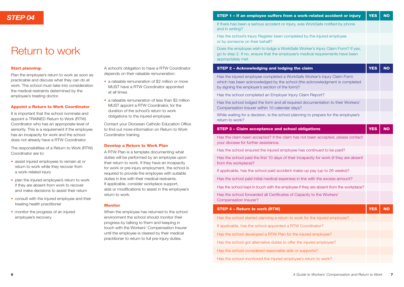# Return to work

### Start planning:

Plan the employee's return to work as soon as practicable and discuss what they can do at work. The school must take into consideration the medical restraints determined by the employee's treating doctor.

#### Appoint a Return to Work Coordinator

It is important that the school nominate and appoint a TRAINED Return to Work (RTW) Coordinator who has an appropriate level of seniority. This is a requirement if the employee has an incapacity for work and the school does not already have a RTW Coordinator.

The responsibilities of a Return to Work (RTW) Coordinator are to:

- assist injured employees to remain at or return to work while they recover from a work-related injury
- plan the injured employee's return to work if they are absent from work to recover and make decisions to assist their return
- consult with the injured employee and their treating health practitioner
- monitor the progress of an injured employee's recovery.

A school's obligation to have a RTW Coordinator depends on their rateable remuneration:

- a rateable remuneration of \$2 million or more MUST have a RTW Coordinator appointed at all times
- a rateable remuneration of less than \$2 million MUST appoint a RTW Coordinator, for the duration of the school's return to work obligations to the injured employee.

Contact your Diocesan Catholic Education Office to find out more information on Return to Work Coordinator training.

#### Develop a Return to Work Plan

A RTW Plan is a template documenting what duties will be performed by an employee upon their return to work. If they have an incapacity for work or pre-injury employment, the school is required to provide the employee with suitable duties in line with their medical restraints. If applicable, consider workplace support, aids or modifications to assist in the employee's return to work.

### Monitor

When the employee has returned to the school environment the school should monitor their progress by talking to them and keeping in touch with the Workers' Compensation Insurer until the employee is cleared by their medical practitioner to return to full pre-injury duties.

| <b>STEP 04</b> | STEP 1 – If an employee suffers from a work-related accident or injury   YES   NO |  |
|----------------|-----------------------------------------------------------------------------------|--|
|                |                                                                                   |  |

If there has been a serious accident or injury, was WorkSafe notified by phone and in writing?

Has the school's Injury Register been completed by the injured employee or by someone on their behalf?

Does the employee wish to lodge a WorkSafe Worker's Injury Claim Form? If yes, go to step 2. If no, ensure that the employee's medical requirements have been appropriately met.

#### STEP 2 – Acknowledging and lodging the claim

Has the injured employee completed a WorkSafe Worker's Injury Claim Form which has been acknowledged by the school (the acknowledgment is completed by signing the employer's section of the form)?

Has the school completed an Employer Injury Claim Report?

Has the school lodged the form and all required documentation to their Workers' Compensation Insurer within 10 calendar days?

While waiting for a decision, is the school planning to prepare for the employee's return to work?

| <b>STEP 3 - Claim acceptance and school obligations</b>                                                                 | <b>YES</b> | <b>NO</b> |  |
|-------------------------------------------------------------------------------------------------------------------------|------------|-----------|--|
| Has the claim been accepted? If the claim has not been accepted, please contact<br>your diocese for further assistance. |            |           |  |
| Has the school ensured the injured employee has continued to be paid?                                                   |            |           |  |
| Has the school paid the first 10 days of their incapacity for work (if they are absent<br>from the workplace)?          |            |           |  |
| If applicable, has the school paid accident make-up pay (up to 26 weeks)?                                               |            |           |  |
| Has the school paid initial medical expenses in line with the excess amount?                                            |            |           |  |
| Has the school kept in touch with the employee if they are absent from the workplace?                                   |            |           |  |
| Has the school forwarded all Certificates of Capacity to the Workers'<br>Compensation Insurer?                          |            |           |  |
| <b>STEP 4 - Return to work (RTW)</b>                                                                                    | <b>YES</b> | <b>NO</b> |  |
| Has the school started planning a return to work for the injured employee?                                              |            |           |  |
| If applicable, has the school appointed a RTW Coordinator?                                                              |            |           |  |
| Has the school developed a RTW Plan for the injured employee?                                                           |            |           |  |
| Has the school got alternative duties to offer the injured employee?                                                    |            |           |  |
| Has the school considered reasonable aids or supports?                                                                  |            |           |  |
| Has the school monitored the injured employee's return to work?                                                         |            |           |  |

**YES** 

**NO**